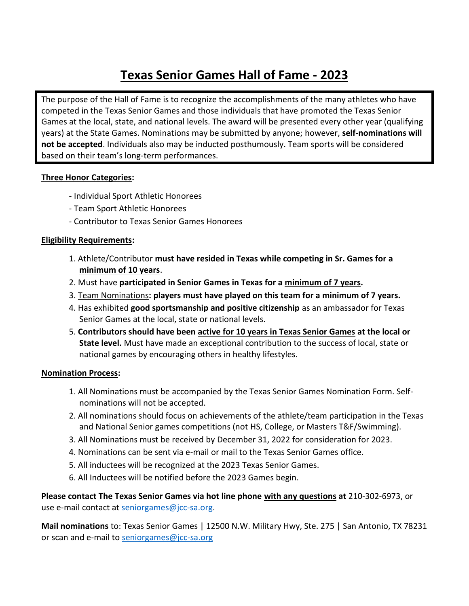# **Texas Senior Games Hall of Fame - 2023**

The purpose of the Hall of Fame is to recognize the accomplishments of the many athletes who have competed in the Texas Senior Games and those individuals that have promoted the Texas Senior Games at the local, state, and national levels. The award will be presented every other year (qualifying years) at the State Games. Nominations may be submitted by anyone; however, **self-nominations will not be accepted**. Individuals also may be inducted posthumously. Team sports will be considered based on their team's long-term performances.

### **Three Honor Categories:**

- Individual Sport Athletic Honorees
- Team Sport Athletic Honorees
- Contributor to Texas Senior Games Honorees

### **Eligibility Requirements:**

- 1. Athlete/Contributor **must have resided in Texas while competing in Sr. Games for a minimum of 10 years**.
- 2. Must have **participated in Senior Games in Texas for a minimum of 7 years.**
- 3. Team Nominations**: players must have played on this team for a minimum of 7 years.**
- 4. Has exhibited **good sportsmanship and positive citizenship** as an ambassador for Texas Senior Games at the local, state or national levels.
- 5. **Contributors should have been active for 10 years in Texas Senior Games at the local or State level.** Must have made an exceptional contribution to the success of local, state or national games by encouraging others in healthy lifestyles.

### **Nomination Process:**

- 1. All Nominations must be accompanied by the Texas Senior Games Nomination Form. Selfnominations will not be accepted.
- 2. All nominations should focus on achievements of the athlete/team participation in the Texas and National Senior games competitions (not HS, College, or Masters T&F/Swimming).
- 3. All Nominations must be received by December 31, 2022 for consideration for 2023.
- 4. Nominations can be sent via e-mail or mail to the Texas Senior Games office.
- 5. All inductees will be recognized at the 2023 Texas Senior Games.
- 6. All Inductees will be notified before the 2023 Games begin.

**Please contact The Texas Senior Games via hot line phone with any questions at** 210-302-6973, or use e-mail contact at seniorgames@jcc-sa.org.

**Mail nominations** to: Texas Senior Games | 12500 N.W. Military Hwy, Ste. 275 | San Antonio, TX 78231 or scan and e-mail to [seniorgames@jcc-sa.org](mailto:seniorgames@jcc-sa.org)